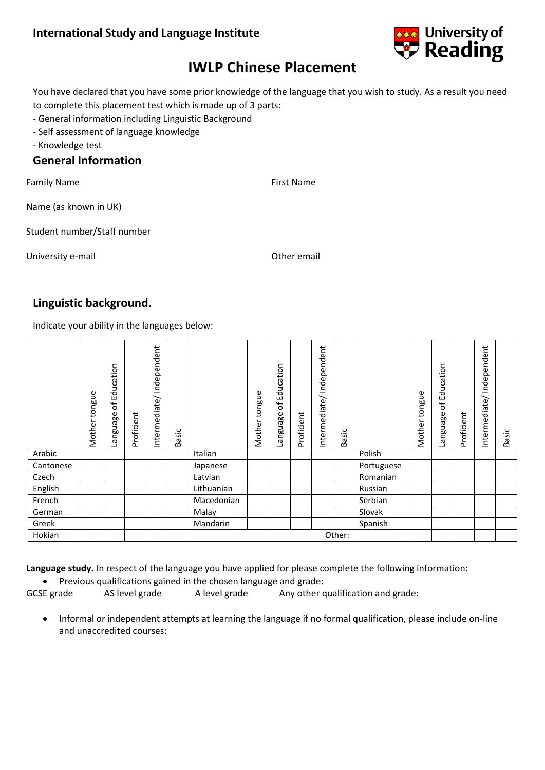

# **IWLP Chinese Placement**

You have declared that you have some prior knowledge of the language that you wish to study. As a result you need to complete this placement test which is made up of 3 parts:

- General information including Linguistic Background
- Self assessment of language knowledge
- Knowledge test

### **General Information**

Family Name **First Name First Name** 

Name (as known in UK)

Student number/Staff number

University e-mail and the contract of the contract of the contract of the contract of the contract of the contract of the contract of the contract of the contract of the contract of the contract of the contract of the cont

## **Linguistic background.**

Indicate your ability in the languages below:

|           | tongue<br>Mother | ducation<br>ш<br>$\mathcal{P}$<br>anguage | Proficient | Independent<br>ntermediate/ | sic<br>.ea |            | tongue<br>Mother | ducation<br>ய்<br>$\mathcal{P}$<br>anguage | Proficient | dent<br>Indepen<br>ntermediate/ | $\dot{s}$<br>.<br>Bã |            | tongue<br>Mother | ducation<br>ய<br>ъf<br>anguage | Proficient | Independent<br>Intermediate/ | Sic<br>.<br>Ba |
|-----------|------------------|-------------------------------------------|------------|-----------------------------|------------|------------|------------------|--------------------------------------------|------------|---------------------------------|----------------------|------------|------------------|--------------------------------|------------|------------------------------|----------------|
| Arabic    |                  |                                           |            |                             |            | Italian    |                  |                                            |            |                                 |                      | Polish     |                  |                                |            |                              |                |
| Cantonese |                  |                                           |            |                             |            | Japanese   |                  |                                            |            |                                 |                      | Portuguese |                  |                                |            |                              |                |
| Czech     |                  |                                           |            |                             |            | Latvian    |                  |                                            |            |                                 |                      | Romanian   |                  |                                |            |                              |                |
| English   |                  |                                           |            |                             |            | Lithuanian |                  |                                            |            |                                 |                      | Russian    |                  |                                |            |                              |                |
| French    |                  |                                           |            |                             |            | Macedonian |                  |                                            |            |                                 |                      | Serbian    |                  |                                |            |                              |                |
| German    |                  |                                           |            |                             |            | Malay      |                  |                                            |            |                                 |                      | Slovak     |                  |                                |            |                              |                |
| Greek     |                  |                                           |            |                             |            | Mandarin   |                  |                                            |            |                                 |                      | Spanish    |                  |                                |            |                              |                |
| Hokian    |                  |                                           |            |                             |            | Other:     |                  |                                            |            |                                 |                      |            |                  |                                |            |                              |                |

**Language study.** In respect of the language you have applied for please complete the following information:

Previous qualifications gained in the chosen language and grade:

GCSE grade AS level grade A level grade Any other qualification and grade:

 Informal or independent attempts at learning the language if no formal qualification, please include on-line and unaccredited courses: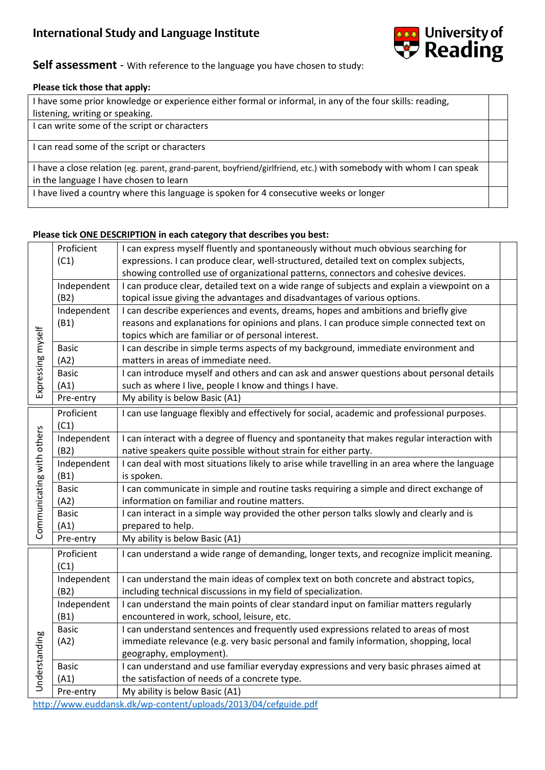

### **Self assessment** - With reference to the language you have chosen to study:

#### **Please tick those that apply:**

| I have some prior knowledge or experience either formal or informal, in any of the four skills: reading,           |  |
|--------------------------------------------------------------------------------------------------------------------|--|
| listening, writing or speaking.                                                                                    |  |
| I can write some of the script or characters                                                                       |  |
| I can read some of the script or characters                                                                        |  |
| I have a close relation (eg. parent, grand-parent, boyfriend/girlfriend, etc.) with somebody with whom I can speak |  |
| in the language I have chosen to learn                                                                             |  |
| I have lived a country where this language is spoken for 4 consecutive weeks or longer                             |  |

#### **Please tick ONE DESCRIPTION in each category that describes you best:**

|                           | Proficient   | I can express myself fluently and spontaneously without much obvious searching for             |  |  |  |  |
|---------------------------|--------------|------------------------------------------------------------------------------------------------|--|--|--|--|
|                           | (C1)         | expressions. I can produce clear, well-structured, detailed text on complex subjects,          |  |  |  |  |
|                           |              | showing controlled use of organizational patterns, connectors and cohesive devices.            |  |  |  |  |
|                           | Independent  | I can produce clear, detailed text on a wide range of subjects and explain a viewpoint on a    |  |  |  |  |
|                           | (B2)         | topical issue giving the advantages and disadvantages of various options.                      |  |  |  |  |
|                           | Independent  | I can describe experiences and events, dreams, hopes and ambitions and briefly give            |  |  |  |  |
|                           | (B1)         | reasons and explanations for opinions and plans. I can produce simple connected text on        |  |  |  |  |
|                           |              | topics which are familiar or of personal interest.                                             |  |  |  |  |
|                           | <b>Basic</b> | I can describe in simple terms aspects of my background, immediate environment and             |  |  |  |  |
|                           | (A2)         | matters in areas of immediate need.                                                            |  |  |  |  |
| Expressing myself         | <b>Basic</b> | I can introduce myself and others and can ask and answer questions about personal details      |  |  |  |  |
|                           | (A1)         | such as where I live, people I know and things I have.                                         |  |  |  |  |
|                           | Pre-entry    | My ability is below Basic (A1)                                                                 |  |  |  |  |
|                           | Proficient   | I can use language flexibly and effectively for social, academic and professional purposes.    |  |  |  |  |
|                           | (C1)         |                                                                                                |  |  |  |  |
|                           | Independent  | I can interact with a degree of fluency and spontaneity that makes regular interaction with    |  |  |  |  |
| Communicating with others | (B2)         | native speakers quite possible without strain for either party.                                |  |  |  |  |
|                           | Independent  | I can deal with most situations likely to arise while travelling in an area where the language |  |  |  |  |
|                           | (B1)         | is spoken.                                                                                     |  |  |  |  |
|                           | <b>Basic</b> | I can communicate in simple and routine tasks requiring a simple and direct exchange of        |  |  |  |  |
|                           | (A2)         | information on familiar and routine matters.                                                   |  |  |  |  |
|                           | <b>Basic</b> | I can interact in a simple way provided the other person talks slowly and clearly and is       |  |  |  |  |
|                           | (A1)         | prepared to help.                                                                              |  |  |  |  |
|                           | Pre-entry    | My ability is below Basic (A1)                                                                 |  |  |  |  |
|                           | Proficient   | I can understand a wide range of demanding, longer texts, and recognize implicit meaning.      |  |  |  |  |
|                           | (C1)         |                                                                                                |  |  |  |  |
|                           | Independent  | I can understand the main ideas of complex text on both concrete and abstract topics,          |  |  |  |  |
|                           | (B2)         | including technical discussions in my field of specialization.                                 |  |  |  |  |
|                           | Independent  | I can understand the main points of clear standard input on familiar matters regularly         |  |  |  |  |
|                           | (B1)         | encountered in work, school, leisure, etc.                                                     |  |  |  |  |
|                           | <b>Basic</b> | I can understand sentences and frequently used expressions related to areas of most            |  |  |  |  |
|                           | (A2)         | immediate relevance (e.g. very basic personal and family information, shopping, local          |  |  |  |  |
| Understanding             |              | geography, employment).                                                                        |  |  |  |  |
|                           | <b>Basic</b> | I can understand and use familiar everyday expressions and very basic phrases aimed at         |  |  |  |  |
|                           | (A1)         | the satisfaction of needs of a concrete type.                                                  |  |  |  |  |
|                           | Pre-entry    | My ability is below Basic (A1)                                                                 |  |  |  |  |
|                           |              | http://unus.ouddanck.dk/un.contont/unloads/2012/04/sofauido.ndf                                |  |  |  |  |

[http://www.euddansk.dk/wp-content/uploads/2013/04/cefguide.pdf](https://www.owamail.reading.ac.uk/owa/redir.aspx?C=aXr1z-l-twwVzWrsLDhsq_MQT2CA2wBuxFcOCp7LfxKxQOqVXGzUCA..&URL=http%3a%2f%2fwww.euddansk.dk%2fwp-content%2fuploads%2f2013%2f04%2fcefguide.pdf)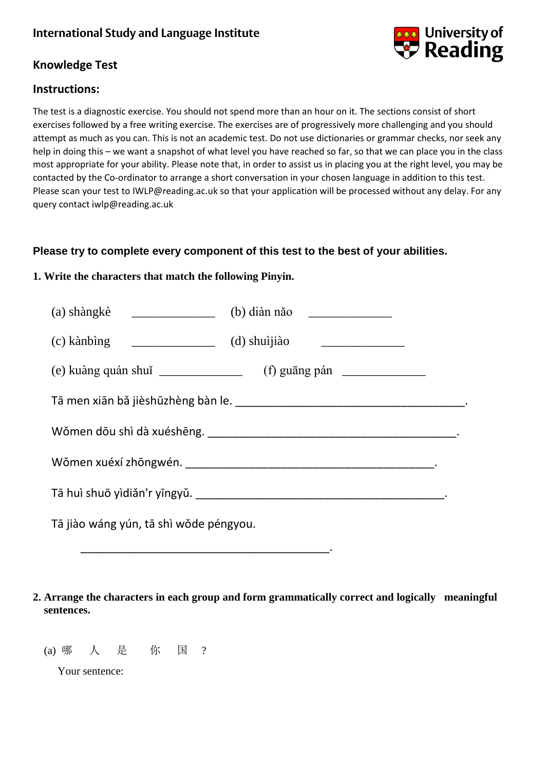

### **Knowledge Test**

### **Instructions:**

The test is a diagnostic exercise. You should not spend more than an hour on it. The sections consist of short exercises followed by a free writing exercise. The exercises are of progressively more challenging and you should attempt as much as you can. This is not an academic test. Do not use dictionaries or grammar checks, nor seek any help in doing this – we want a snapshot of what level you have reached so far, so that we can place you in the class most appropriate for your ability. Please note that, in order to assist us in placing you at the right level, you may be contacted by the Co-ordinator to arrange a short conversation in your chosen language in addition to this test. Please scan your test to IWLP@reading.ac.uk so that your application will be processed without any delay. For any query contact iwlp@reading.ac.uk

### **Please try to complete every component of this test to the best of your abilities.**

#### **1. Write the characters that match the following Pinyin.**

| $(a)$ shàngkè $\qquad \qquad$<br>(b) diàn năo                                                                                  |  |  |  |  |  |  |
|--------------------------------------------------------------------------------------------------------------------------------|--|--|--|--|--|--|
| $\begin{array}{ccc}\n & (d) \text{ shu'iji'ab}\n\end{array}$<br>(c) kànbìng<br><u> 1989 - Johann Barnett, fransk politik (</u> |  |  |  |  |  |  |
|                                                                                                                                |  |  |  |  |  |  |
|                                                                                                                                |  |  |  |  |  |  |
|                                                                                                                                |  |  |  |  |  |  |
|                                                                                                                                |  |  |  |  |  |  |
|                                                                                                                                |  |  |  |  |  |  |
| Tā jiào wáng yún, tā shì wǒde péngyou.                                                                                         |  |  |  |  |  |  |

**2. Arrange the characters in each group and form grammatically correct and logically meaningful sentences.**

(a) 哪 人 是 你 国 ?

Your sentence: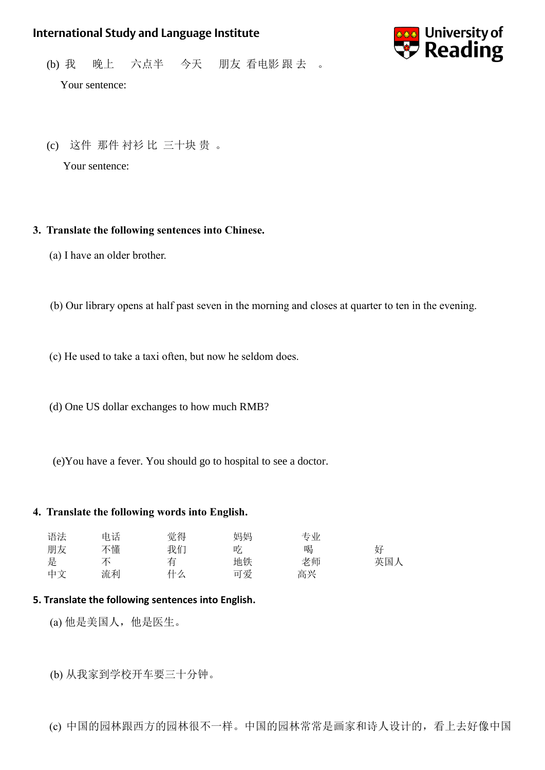

(b) 我 晚上 六点半 今天 朋友 看电影 跟 去 。

Your sentence:

(c) 这件 那件 衬衫 比 三十块 贵 。

Your sentence:

#### **3. Translate the following sentences into Chinese.**

(a) I have an older brother.

(b) Our library opens at half past seven in the morning and closes at quarter to ten in the evening.

(c) He used to take a taxi often, but now he seldom does.

(d) One US dollar exchanges to how much RMB?

(e)You have a fever. You should go to hospital to see a doctor.

#### **4. Translate the following words into English.**

| 语法 | 电话 | 觉得 | 妈妈 | 专业 |     |
|----|----|----|----|----|-----|
| 朋友 | 不懂 | 我们 | 吃  | 喝  | 好   |
| 是  |    | 有  | 地铁 | 老师 | 英国人 |
| 中文 | 流利 | 什么 | 可爱 | 高兴 |     |

#### **5. Translate the following sentences into English.**

(a) 他是美国人,他是医生。

(b) 从我家到学校开车要三十分钟。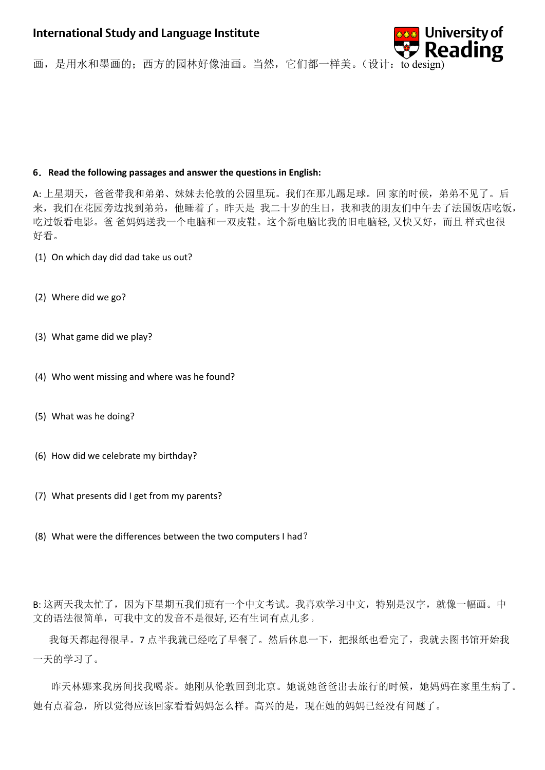

画,是用水和墨画的;西方的园林好像油画。当然,它们都一样美。(设计:to design)

#### **6**.**Read the following passages and answer the questions in English:**

A: 上星期天,爸爸带我和弟弟、妹妹去伦敦的公园里玩。我们在那儿踢足球。回 家的时候,弟弟不见了。后 来,我们在花园旁边找到弟弟,他睡着了。昨天是 我二十岁的生日,我和我的朋友们中午去了法国饭店吃饭, 吃过饭看电影。爸爸妈妈送我一个电脑和一双皮鞋。这个新电脑比我的旧电脑轻, 又快又好,而且样式也很 好看。

- (1) On which day did dad take us out?
- (2) Where did we go?
- (3) What game did we play?
- (4) Who went missing and where was he found?
- (5) What was he doing?
- (6) How did we celebrate my birthday?
- (7) What presents did I get from my parents?
- (8) What were the differences between the two computers I had?

B: 这两天我太忙了, 因为下星期五我们班有一个中文考试。我喜欢学习中文, 特别是汉字, 就像一幅画。中 文的语法很简单,可我中文的发音不是很好, 还有生词有点儿多。

我每天都起得很早。7 点半我就已经吃了早餐了。然后休息一下,把报纸也看完了,我就去图书馆开始我 一天的学习了。

 昨天林娜来我房间找我喝茶。她刚从伦敦回到北京。她说她爸爸出去旅行的时候,她妈妈在家里生病了。 她有点着急,所以觉得应该回家看看妈妈怎么样。高兴的是,现在她的妈妈已经没有问题了。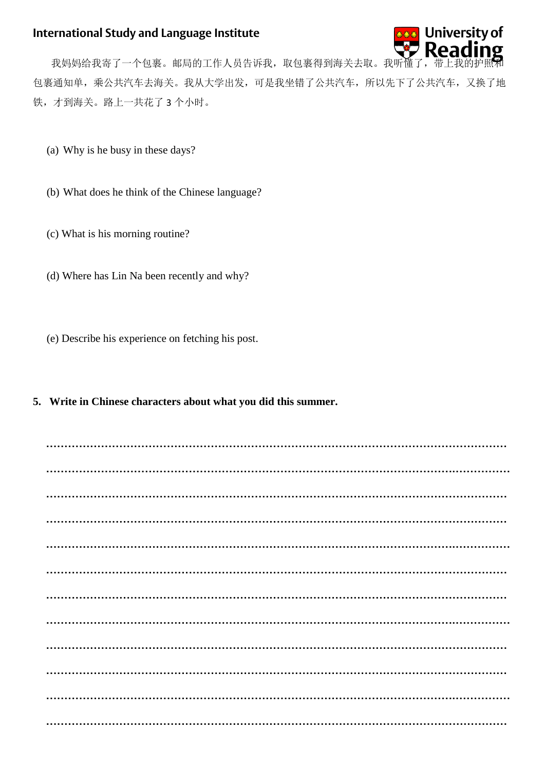

我妈妈给我寄了一个包裹。邮局的工作人员告诉我,取包裹得到海关去取。我听懂 包裹通知单,乘公共汽车去海关。我从大学出发,可是我坐错了公共汽车,所以先下了公共汽车,又换了地 铁,才到海关。路上一共花了3个小时。

- (a) Why is he busy in these days?
- (b) What does he think of the Chinese language?
- (c) What is his morning routine?
- (d) Where has Lin Na been recently and why?
- (e) Describe his experience on fetching his post.
- **5. Write in Chinese characters about what you did this summer.**